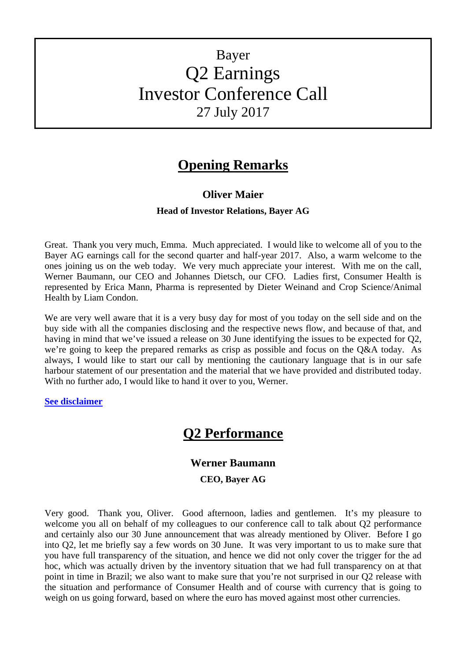# Bayer Q2 Earnings Investor Conference Call 27 July 2017

# **Opening Remarks**

# **Oliver Maier**

#### **Head of Investor Relations, Bayer AG**

Great. Thank you very much, Emma. Much appreciated. I would like to welcome all of you to the Bayer AG earnings call for the second quarter and half-year 2017. Also, a warm welcome to the ones joining us on the web today. We very much appreciate your interest. With me on the call, Werner Baumann, our CEO and Johannes Dietsch, our CFO. Ladies first, Consumer Health is represented by Erica Mann, Pharma is represented by Dieter Weinand and Crop Science/Animal Health by Liam Condon.

We are very well aware that it is a very busy day for most of you today on the sell side and on the buy side with all the companies disclosing and the respective news flow, and because of that, and having in mind that we've issued a release on 30 June identifying the issues to be expected for Q2, we're going to keep the prepared remarks as crisp as possible and focus on the Q&A today. As always, I would like to start our call by mentioning the cautionary language that is in our safe harbour statement of our presentation and the material that we have provided and distributed today. With no further ado, I would like to hand it over to you, Werner.

#### **[See disclaimer](#page-23-0)**

# **Q2 Performance**

# **Werner Baumann**

#### **CEO, Bayer AG**

Very good. Thank you, Oliver. Good afternoon, ladies and gentlemen. It's my pleasure to welcome you all on behalf of my colleagues to our conference call to talk about Q2 performance and certainly also our 30 June announcement that was already mentioned by Oliver. Before I go into Q2, let me briefly say a few words on 30 June. It was very important to us to make sure that you have full transparency of the situation, and hence we did not only cover the trigger for the ad hoc, which was actually driven by the inventory situation that we had full transparency on at that point in time in Brazil; we also want to make sure that you're not surprised in our Q2 release with the situation and performance of Consumer Health and of course with currency that is going to weigh on us going forward, based on where the euro has moved against most other currencies.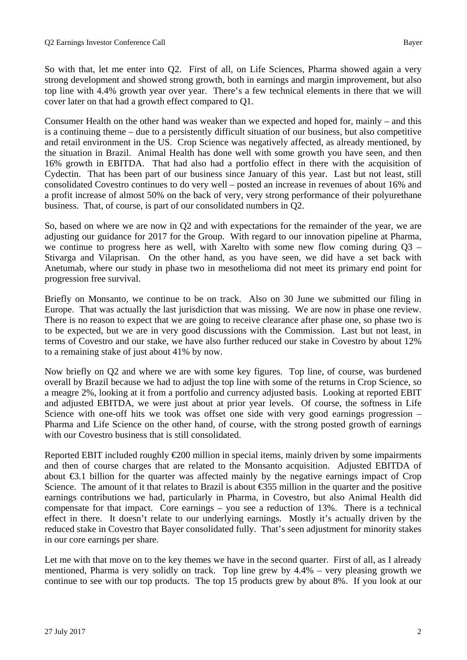So with that, let me enter into Q2. First of all, on Life Sciences, Pharma showed again a very strong development and showed strong growth, both in earnings and margin improvement, but also top line with 4.4% growth year over year. There's a few technical elements in there that we will cover later on that had a growth effect compared to Q1.

Consumer Health on the other hand was weaker than we expected and hoped for, mainly – and this is a continuing theme – due to a persistently difficult situation of our business, but also competitive and retail environment in the US. Crop Science was negatively affected, as already mentioned, by the situation in Brazil. Animal Health has done well with some growth you have seen, and then 16% growth in EBITDA. That had also had a portfolio effect in there with the acquisition of Cydectin. That has been part of our business since January of this year. Last but not least, still consolidated Covestro continues to do very well – posted an increase in revenues of about 16% and a profit increase of almost 50% on the back of very, very strong performance of their polyurethane business. That, of course, is part of our consolidated numbers in Q2.

So, based on where we are now in Q2 and with expectations for the remainder of the year, we are adjusting our guidance for 2017 for the Group. With regard to our innovation pipeline at Pharma, we continue to progress here as well, with Xarelto with some new flow coming during Q3 – Stivarga and Vilaprisan. On the other hand, as you have seen, we did have a set back with Anetumab, where our study in phase two in mesothelioma did not meet its primary end point for progression free survival.

Briefly on Monsanto, we continue to be on track. Also on 30 June we submitted our filing in Europe. That was actually the last jurisdiction that was missing. We are now in phase one review. There is no reason to expect that we are going to receive clearance after phase one, so phase two is to be expected, but we are in very good discussions with the Commission. Last but not least, in terms of Covestro and our stake, we have also further reduced our stake in Covestro by about 12% to a remaining stake of just about 41% by now.

Now briefly on Q2 and where we are with some key figures. Top line, of course, was burdened overall by Brazil because we had to adjust the top line with some of the returns in Crop Science, so a meagre 2%, looking at it from a portfolio and currency adjusted basis. Looking at reported EBIT and adjusted EBITDA, we were just about at prior year levels. Of course, the softness in Life Science with one-off hits we took was offset one side with very good earnings progression – Pharma and Life Science on the other hand, of course, with the strong posted growth of earnings with our Covestro business that is still consolidated.

Reported EBIT included roughly  $\epsilon$  200 million in special items, mainly driven by some impairments and then of course charges that are related to the Monsanto acquisition. Adjusted EBITDA of about €3.1 billion for the quarter was affected mainly by the negative earnings impact of Crop Science. The amount of it that relates to Brazil is about €355 million in the quarter and the positive earnings contributions we had, particularly in Pharma, in Covestro, but also Animal Health did compensate for that impact. Core earnings – you see a reduction of 13%. There is a technical effect in there. It doesn't relate to our underlying earnings. Mostly it's actually driven by the reduced stake in Covestro that Bayer consolidated fully. That's seen adjustment for minority stakes in our core earnings per share.

Let me with that move on to the key themes we have in the second quarter. First of all, as I already mentioned, Pharma is very solidly on track. Top line grew by 4.4% – very pleasing growth we continue to see with our top products. The top 15 products grew by about 8%. If you look at our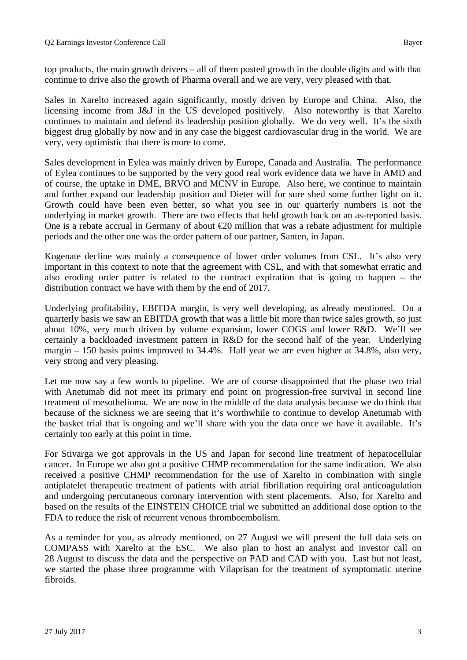Sales in Xarelto increased again significantly, mostly driven by Europe and China. Also, the licensing income from J&J in the US developed positively. Also noteworthy is that Xarelto continues to maintain and defend its leadership position globally. We do very well. It's the sixth biggest drug globally by now and in any case the biggest cardiovascular drug in the world. We are very, very optimistic that there is more to come.

Sales development in Eylea was mainly driven by Europe, Canada and Australia. The performance of Eylea continues to be supported by the very good real work evidence data we have in AMD and of course, the uptake in DME, BRVO and MCNV in Europe. Also here, we continue to maintain and further expand our leadership position and Dieter will for sure shed some further light on it. Growth could have been even better, so what you see in our quarterly numbers is not the underlying in market growth. There are two effects that held growth back on an as-reported basis. One is a rebate accrual in Germany of about  $\epsilon$ 20 million that was a rebate adjustment for multiple periods and the other one was the order pattern of our partner, Santen, in Japan.

Kogenate decline was mainly a consequence of lower order volumes from CSL. It's also very important in this context to note that the agreement with CSL, and with that somewhat erratic and also eroding order patter is related to the contract expiration that is going to happen – the distribution contract we have with them by the end of 2017.

Underlying profitability, EBITDA margin, is very well developing, as already mentioned. On a quarterly basis we saw an EBITDA growth that was a little bit more than twice sales growth, so just about 10%, very much driven by volume expansion, lower COGS and lower R&D. We'll see certainly a backloaded investment pattern in R&D for the second half of the year. Underlying margin – 150 basis points improved to 34.4%. Half year we are even higher at 34.8%, also very, very strong and very pleasing.

Let me now say a few words to pipeline. We are of course disappointed that the phase two trial with Anetumab did not meet its primary end point on progression-free survival in second line treatment of mesothelioma. We are now in the middle of the data analysis because we do think that because of the sickness we are seeing that it's worthwhile to continue to develop Anetumab with the basket trial that is ongoing and we'll share with you the data once we have it available. It's certainly too early at this point in time.

For Stivarga we got approvals in the US and Japan for second line treatment of hepatocellular cancer. In Europe we also got a positive CHMP recommendation for the same indication. We also received a positive CHMP recommendation for the use of Xarelto in combination with single antiplatelet therapeutic treatment of patients with atrial fibrillation requiring oral anticoagulation and undergoing percutaneous coronary intervention with stent placements. Also, for Xarelto and based on the results of the EINSTEIN CHOICE trial we submitted an additional dose option to the FDA to reduce the risk of recurrent venous thromboembolism.

As a reminder for you, as already mentioned, on 27 August we will present the full data sets on COMPASS with Xarelto at the ESC. We also plan to host an analyst and investor call on 28 August to discuss the data and the perspective on PAD and CAD with you. Last but not least, we started the phase three programme with Vilaprisan for the treatment of symptomatic uterine fibroids.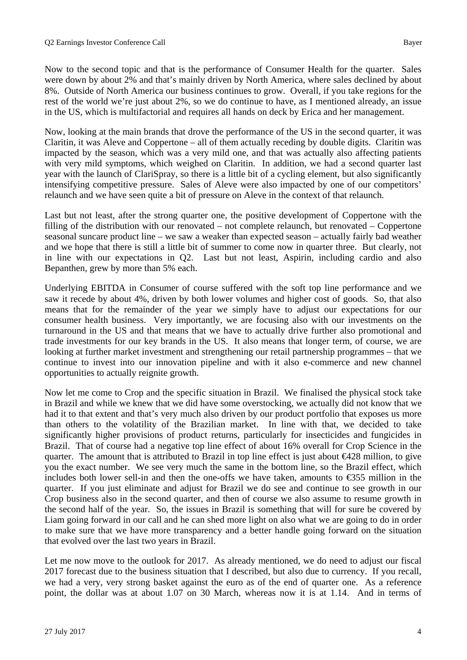Now to the second topic and that is the performance of Consumer Health for the quarter. Sales were down by about 2% and that's mainly driven by North America, where sales declined by about 8%. Outside of North America our business continues to grow. Overall, if you take regions for the rest of the world we're just about 2%, so we do continue to have, as I mentioned already, an issue in the US, which is multifactorial and requires all hands on deck by Erica and her management.

Now, looking at the main brands that drove the performance of the US in the second quarter, it was Claritin, it was Aleve and Coppertone – all of them actually receding by double digits. Claritin was impacted by the season, which was a very mild one, and that was actually also affecting patients with very mild symptoms, which weighed on Claritin. In addition, we had a second quarter last year with the launch of ClariSpray, so there is a little bit of a cycling element, but also significantly intensifying competitive pressure. Sales of Aleve were also impacted by one of our competitors' relaunch and we have seen quite a bit of pressure on Aleve in the context of that relaunch.

Last but not least, after the strong quarter one, the positive development of Coppertone with the filling of the distribution with our renovated – not complete relaunch, but renovated – Coppertone seasonal suncare product line – we saw a weaker than expected season – actually fairly bad weather and we hope that there is still a little bit of summer to come now in quarter three. But clearly, not in line with our expectations in Q2. Last but not least, Aspirin, including cardio and also Bepanthen, grew by more than 5% each.

Underlying EBITDA in Consumer of course suffered with the soft top line performance and we saw it recede by about 4%, driven by both lower volumes and higher cost of goods. So, that also means that for the remainder of the year we simply have to adjust our expectations for our consumer health business. Very importantly, we are focusing also with our investments on the turnaround in the US and that means that we have to actually drive further also promotional and trade investments for our key brands in the US. It also means that longer term, of course, we are looking at further market investment and strengthening our retail partnership programmes – that we continue to invest into our innovation pipeline and with it also e-commerce and new channel opportunities to actually reignite growth.

Now let me come to Crop and the specific situation in Brazil. We finalised the physical stock take in Brazil and while we knew that we did have some overstocking, we actually did not know that we had it to that extent and that's very much also driven by our product portfolio that exposes us more than others to the volatility of the Brazilian market. In line with that, we decided to take significantly higher provisions of product returns, particularly for insecticides and fungicides in Brazil. That of course had a negative top line effect of about 16% overall for Crop Science in the quarter. The amount that is attributed to Brazil in top line effect is just about €428 million, to give you the exact number. We see very much the same in the bottom line, so the Brazil effect, which includes both lower sell-in and then the one-offs we have taken, amounts to  $\epsilon$ 355 million in the quarter. If you just eliminate and adjust for Brazil we do see and continue to see growth in our Crop business also in the second quarter, and then of course we also assume to resume growth in the second half of the year. So, the issues in Brazil is something that will for sure be covered by Liam going forward in our call and he can shed more light on also what we are going to do in order to make sure that we have more transparency and a better handle going forward on the situation that evolved over the last two years in Brazil.

Let me now move to the outlook for 2017. As already mentioned, we do need to adjust our fiscal 2017 forecast due to the business situation that I described, but also due to currency. If you recall, we had a very, very strong basket against the euro as of the end of quarter one. As a reference point, the dollar was at about 1.07 on 30 March, whereas now it is at 1.14. And in terms of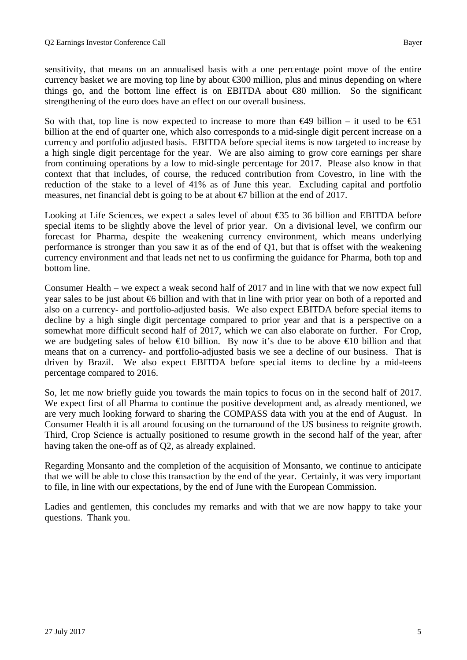sensitivity, that means on an annualised basis with a one percentage point move of the entire currency basket we are moving top line by about €300 million, plus and minus depending on where things go, and the bottom line effect is on EBITDA about €80 million. So the significant strengthening of the euro does have an effect on our overall business.

So with that, top line is now expected to increase to more than  $\epsilon$ 49 billion – it used to be  $\epsilon$ 51 billion at the end of quarter one, which also corresponds to a mid-single digit percent increase on a currency and portfolio adjusted basis. EBITDA before special items is now targeted to increase by a high single digit percentage for the year. We are also aiming to grow core earnings per share from continuing operations by a low to mid-single percentage for 2017. Please also know in that context that that includes, of course, the reduced contribution from Covestro, in line with the reduction of the stake to a level of 41% as of June this year. Excluding capital and portfolio measures, net financial debt is going to be at about  $\epsilon$  billion at the end of 2017.

Looking at Life Sciences, we expect a sales level of about €35 to 36 billion and EBITDA before special items to be slightly above the level of prior year. On a divisional level, we confirm our forecast for Pharma, despite the weakening currency environment, which means underlying performance is stronger than you saw it as of the end of Q1, but that is offset with the weakening currency environment and that leads net net to us confirming the guidance for Pharma, both top and bottom line.

Consumer Health – we expect a weak second half of 2017 and in line with that we now expect full year sales to be just about €6 billion and with that in line with prior year on both of a reported and also on a currency- and portfolio-adjusted basis. We also expect EBITDA before special items to decline by a high single digit percentage compared to prior year and that is a perspective on a somewhat more difficult second half of 2017, which we can also elaborate on further. For Crop, we are budgeting sales of below  $\bigoplus$  billion. By now it's due to be above  $\bigoplus$  billion and that means that on a currency- and portfolio-adjusted basis we see a decline of our business. That is driven by Brazil. We also expect EBITDA before special items to decline by a mid-teens percentage compared to 2016.

So, let me now briefly guide you towards the main topics to focus on in the second half of 2017. We expect first of all Pharma to continue the positive development and, as already mentioned, we are very much looking forward to sharing the COMPASS data with you at the end of August. In Consumer Health it is all around focusing on the turnaround of the US business to reignite growth. Third, Crop Science is actually positioned to resume growth in the second half of the year, after having taken the one-off as of Q2, as already explained.

Regarding Monsanto and the completion of the acquisition of Monsanto, we continue to anticipate that we will be able to close this transaction by the end of the year. Certainly, it was very important to file, in line with our expectations, by the end of June with the European Commission.

Ladies and gentlemen, this concludes my remarks and with that we are now happy to take your questions. Thank you.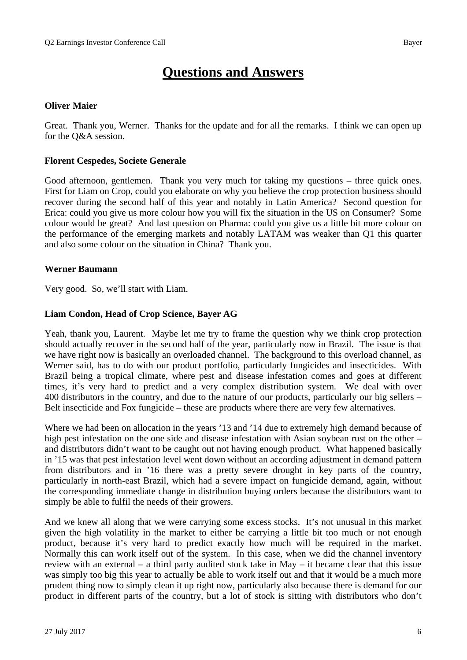# **Questions and Answers**

#### **Oliver Maier**

Great. Thank you, Werner. Thanks for the update and for all the remarks. I think we can open up for the Q&A session.

#### **Florent Cespedes, Societe Generale**

Good afternoon, gentlemen. Thank you very much for taking my questions – three quick ones. First for Liam on Crop, could you elaborate on why you believe the crop protection business should recover during the second half of this year and notably in Latin America? Second question for Erica: could you give us more colour how you will fix the situation in the US on Consumer? Some colour would be great? And last question on Pharma: could you give us a little bit more colour on the performance of the emerging markets and notably LATAM was weaker than Q1 this quarter and also some colour on the situation in China? Thank you.

#### **Werner Baumann**

Very good. So, we'll start with Liam.

#### **Liam Condon, Head of Crop Science, Bayer AG**

Yeah, thank you, Laurent. Maybe let me try to frame the question why we think crop protection should actually recover in the second half of the year, particularly now in Brazil. The issue is that we have right now is basically an overloaded channel. The background to this overload channel, as Werner said, has to do with our product portfolio, particularly fungicides and insecticides. With Brazil being a tropical climate, where pest and disease infestation comes and goes at different times, it's very hard to predict and a very complex distribution system. We deal with over 400 distributors in the country, and due to the nature of our products, particularly our big sellers – Belt insecticide and Fox fungicide – these are products where there are very few alternatives.

Where we had been on allocation in the years '13 and '14 due to extremely high demand because of high pest infestation on the one side and disease infestation with Asian soybean rust on the other – and distributors didn't want to be caught out not having enough product. What happened basically in '15 was that pest infestation level went down without an according adjustment in demand pattern from distributors and in '16 there was a pretty severe drought in key parts of the country, particularly in north-east Brazil, which had a severe impact on fungicide demand, again, without the corresponding immediate change in distribution buying orders because the distributors want to simply be able to fulfil the needs of their growers.

And we knew all along that we were carrying some excess stocks. It's not unusual in this market given the high volatility in the market to either be carrying a little bit too much or not enough product, because it's very hard to predict exactly how much will be required in the market. Normally this can work itself out of the system. In this case, when we did the channel inventory review with an external – a third party audited stock take in May – it became clear that this issue was simply too big this year to actually be able to work itself out and that it would be a much more prudent thing now to simply clean it up right now, particularly also because there is demand for our product in different parts of the country, but a lot of stock is sitting with distributors who don't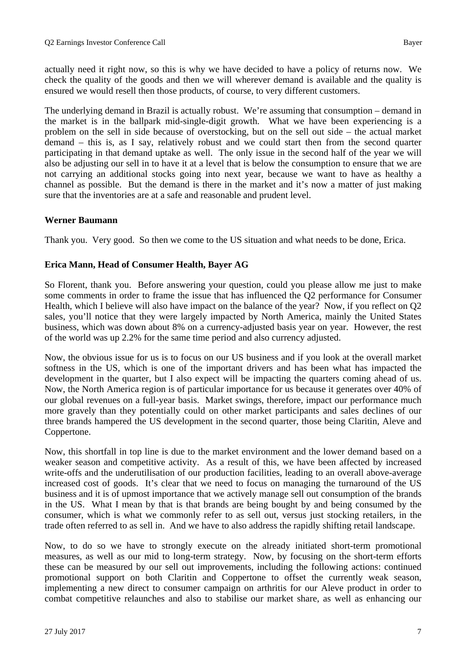actually need it right now, so this is why we have decided to have a policy of returns now. We check the quality of the goods and then we will wherever demand is available and the quality is ensured we would resell then those products, of course, to very different customers.

The underlying demand in Brazil is actually robust. We're assuming that consumption – demand in the market is in the ballpark mid-single-digit growth. What we have been experiencing is a problem on the sell in side because of overstocking, but on the sell out side – the actual market demand – this is, as I say, relatively robust and we could start then from the second quarter participating in that demand uptake as well. The only issue in the second half of the year we will also be adjusting our sell in to have it at a level that is below the consumption to ensure that we are not carrying an additional stocks going into next year, because we want to have as healthy a channel as possible. But the demand is there in the market and it's now a matter of just making sure that the inventories are at a safe and reasonable and prudent level.

# **Werner Baumann**

Thank you. Very good. So then we come to the US situation and what needs to be done, Erica.

# **Erica Mann, Head of Consumer Health, Bayer AG**

So Florent, thank you. Before answering your question, could you please allow me just to make some comments in order to frame the issue that has influenced the Q2 performance for Consumer Health, which I believe will also have impact on the balance of the year? Now, if you reflect on Q2 sales, you'll notice that they were largely impacted by North America, mainly the United States business, which was down about 8% on a currency-adjusted basis year on year. However, the rest of the world was up 2.2% for the same time period and also currency adjusted.

Now, the obvious issue for us is to focus on our US business and if you look at the overall market softness in the US, which is one of the important drivers and has been what has impacted the development in the quarter, but I also expect will be impacting the quarters coming ahead of us. Now, the North America region is of particular importance for us because it generates over 40% of our global revenues on a full-year basis. Market swings, therefore, impact our performance much more gravely than they potentially could on other market participants and sales declines of our three brands hampered the US development in the second quarter, those being Claritin, Aleve and Coppertone.

Now, this shortfall in top line is due to the market environment and the lower demand based on a weaker season and competitive activity. As a result of this, we have been affected by increased write-offs and the underutilisation of our production facilities, leading to an overall above-average increased cost of goods. It's clear that we need to focus on managing the turnaround of the US business and it is of upmost importance that we actively manage sell out consumption of the brands in the US. What I mean by that is that brands are being bought by and being consumed by the consumer, which is what we commonly refer to as sell out, versus just stocking retailers, in the trade often referred to as sell in. And we have to also address the rapidly shifting retail landscape.

Now, to do so we have to strongly execute on the already initiated short-term promotional measures, as well as our mid to long-term strategy. Now, by focusing on the short-term efforts these can be measured by our sell out improvements, including the following actions: continued promotional support on both Claritin and Coppertone to offset the currently weak season, implementing a new direct to consumer campaign on arthritis for our Aleve product in order to combat competitive relaunches and also to stabilise our market share, as well as enhancing our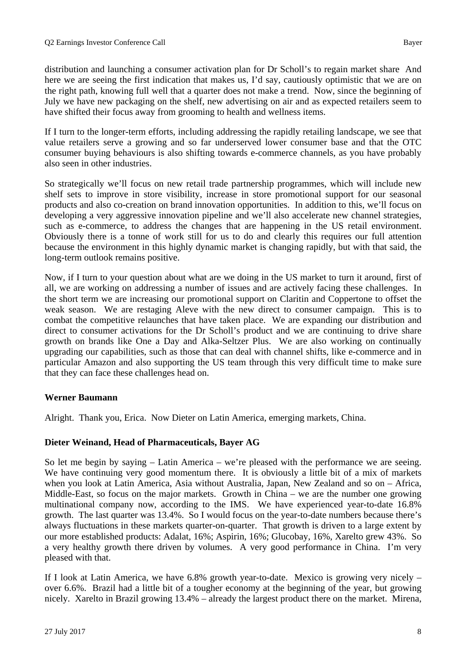distribution and launching a consumer activation plan for Dr Scholl's to regain market share And here we are seeing the first indication that makes us, I'd say, cautiously optimistic that we are on the right path, knowing full well that a quarter does not make a trend. Now, since the beginning of July we have new packaging on the shelf, new advertising on air and as expected retailers seem to have shifted their focus away from grooming to health and wellness items.

If I turn to the longer-term efforts, including addressing the rapidly retailing landscape, we see that value retailers serve a growing and so far underserved lower consumer base and that the OTC consumer buying behaviours is also shifting towards e-commerce channels, as you have probably also seen in other industries.

So strategically we'll focus on new retail trade partnership programmes, which will include new shelf sets to improve in store visibility, increase in store promotional support for our seasonal products and also co-creation on brand innovation opportunities. In addition to this, we'll focus on developing a very aggressive innovation pipeline and we'll also accelerate new channel strategies, such as e-commerce, to address the changes that are happening in the US retail environment. Obviously there is a tonne of work still for us to do and clearly this requires our full attention because the environment in this highly dynamic market is changing rapidly, but with that said, the long-term outlook remains positive.

Now, if I turn to your question about what are we doing in the US market to turn it around, first of all, we are working on addressing a number of issues and are actively facing these challenges. In the short term we are increasing our promotional support on Claritin and Coppertone to offset the weak season. We are restaging Aleve with the new direct to consumer campaign. This is to combat the competitive relaunches that have taken place. We are expanding our distribution and direct to consumer activations for the Dr Scholl's product and we are continuing to drive share growth on brands like One a Day and Alka-Seltzer Plus. We are also working on continually upgrading our capabilities, such as those that can deal with channel shifts, like e-commerce and in particular Amazon and also supporting the US team through this very difficult time to make sure that they can face these challenges head on.

# **Werner Baumann**

Alright. Thank you, Erica. Now Dieter on Latin America, emerging markets, China.

# **Dieter Weinand, Head of Pharmaceuticals, Bayer AG**

So let me begin by saying – Latin America – we're pleased with the performance we are seeing. We have continuing very good momentum there. It is obviously a little bit of a mix of markets when you look at Latin America, Asia without Australia, Japan, New Zealand and so on – Africa, Middle-East, so focus on the major markets. Growth in China – we are the number one growing multinational company now, according to the IMS. We have experienced year-to-date 16.8% growth. The last quarter was 13.4%. So I would focus on the year-to-date numbers because there's always fluctuations in these markets quarter-on-quarter. That growth is driven to a large extent by our more established products: Adalat, 16%; Aspirin, 16%; Glucobay, 16%, Xarelto grew 43%. So a very healthy growth there driven by volumes. A very good performance in China. I'm very pleased with that.

If I look at Latin America, we have 6.8% growth year-to-date. Mexico is growing very nicely – over 6.6%. Brazil had a little bit of a tougher economy at the beginning of the year, but growing nicely. Xarelto in Brazil growing 13.4% – already the largest product there on the market. Mirena,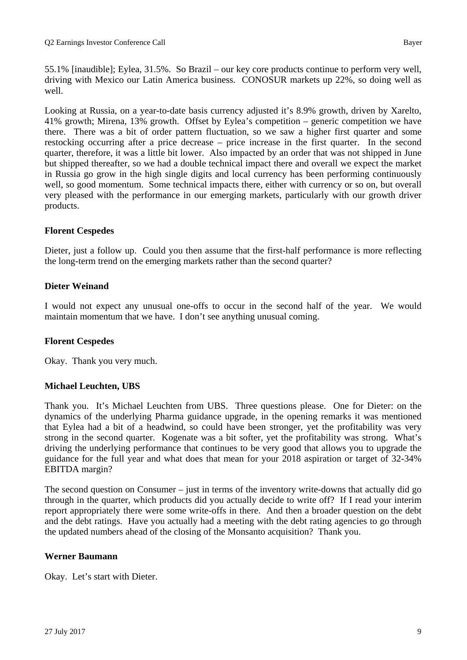55.1% [inaudible]; Eylea, 31.5%. So Brazil – our key core products continue to perform very well, driving with Mexico our Latin America business. CONOSUR markets up 22%, so doing well as well.

Looking at Russia, on a year-to-date basis currency adjusted it's 8.9% growth, driven by Xarelto, 41% growth; Mirena, 13% growth. Offset by Eylea's competition – generic competition we have there. There was a bit of order pattern fluctuation, so we saw a higher first quarter and some restocking occurring after a price decrease – price increase in the first quarter. In the second quarter, therefore, it was a little bit lower. Also impacted by an order that was not shipped in June but shipped thereafter, so we had a double technical impact there and overall we expect the market in Russia go grow in the high single digits and local currency has been performing continuously well, so good momentum. Some technical impacts there, either with currency or so on, but overall very pleased with the performance in our emerging markets, particularly with our growth driver products.

#### **Florent Cespedes**

Dieter, just a follow up. Could you then assume that the first-half performance is more reflecting the long-term trend on the emerging markets rather than the second quarter?

#### **Dieter Weinand**

I would not expect any unusual one-offs to occur in the second half of the year. We would maintain momentum that we have. I don't see anything unusual coming.

# **Florent Cespedes**

Okay. Thank you very much.

# **Michael Leuchten, UBS**

Thank you. It's Michael Leuchten from UBS. Three questions please. One for Dieter: on the dynamics of the underlying Pharma guidance upgrade, in the opening remarks it was mentioned that Eylea had a bit of a headwind, so could have been stronger, yet the profitability was very strong in the second quarter. Kogenate was a bit softer, yet the profitability was strong. What's driving the underlying performance that continues to be very good that allows you to upgrade the guidance for the full year and what does that mean for your 2018 aspiration or target of 32-34% EBITDA margin?

The second question on Consumer – just in terms of the inventory write-downs that actually did go through in the quarter, which products did you actually decide to write off? If I read your interim report appropriately there were some write-offs in there. And then a broader question on the debt and the debt ratings. Have you actually had a meeting with the debt rating agencies to go through the updated numbers ahead of the closing of the Monsanto acquisition? Thank you.

#### **Werner Baumann**

Okay. Let's start with Dieter.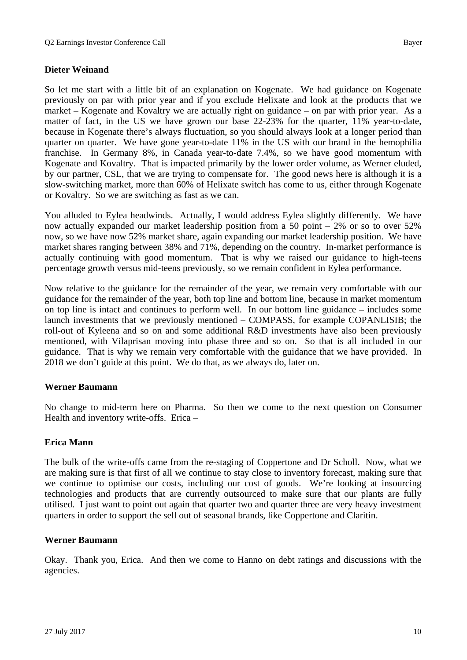# **Dieter Weinand**

So let me start with a little bit of an explanation on Kogenate. We had guidance on Kogenate previously on par with prior year and if you exclude Helixate and look at the products that we market – Kogenate and Kovaltry we are actually right on guidance – on par with prior year. As a matter of fact, in the US we have grown our base 22-23% for the quarter, 11% year-to-date, because in Kogenate there's always fluctuation, so you should always look at a longer period than quarter on quarter. We have gone year-to-date 11% in the US with our brand in the hemophilia franchise. In Germany 8%, in Canada year-to-date 7.4%, so we have good momentum with Kogenate and Kovaltry. That is impacted primarily by the lower order volume, as Werner eluded, by our partner, CSL, that we are trying to compensate for. The good news here is although it is a slow-switching market, more than 60% of Helixate switch has come to us, either through Kogenate or Kovaltry. So we are switching as fast as we can.

You alluded to Eylea headwinds. Actually, I would address Eylea slightly differently. We have now actually expanded our market leadership position from a 50 point – 2% or so to over 52% now, so we have now 52% market share, again expanding our market leadership position. We have market shares ranging between 38% and 71%, depending on the country. In-market performance is actually continuing with good momentum. That is why we raised our guidance to high-teens percentage growth versus mid-teens previously, so we remain confident in Eylea performance.

Now relative to the guidance for the remainder of the year, we remain very comfortable with our guidance for the remainder of the year, both top line and bottom line, because in market momentum on top line is intact and continues to perform well. In our bottom line guidance – includes some launch investments that we previously mentioned – COMPASS, for example COPANLISIB; the roll-out of Kyleena and so on and some additional R&D investments have also been previously mentioned, with Vilaprisan moving into phase three and so on. So that is all included in our guidance. That is why we remain very comfortable with the guidance that we have provided. In 2018 we don't guide at this point. We do that, as we always do, later on.

#### **Werner Baumann**

No change to mid-term here on Pharma. So then we come to the next question on Consumer Health and inventory write-offs. Erica –

#### **Erica Mann**

The bulk of the write-offs came from the re-staging of Coppertone and Dr Scholl. Now, what we are making sure is that first of all we continue to stay close to inventory forecast, making sure that we continue to optimise our costs, including our cost of goods. We're looking at insourcing technologies and products that are currently outsourced to make sure that our plants are fully utilised. I just want to point out again that quarter two and quarter three are very heavy investment quarters in order to support the sell out of seasonal brands, like Coppertone and Claritin.

#### **Werner Baumann**

Okay. Thank you, Erica. And then we come to Hanno on debt ratings and discussions with the agencies.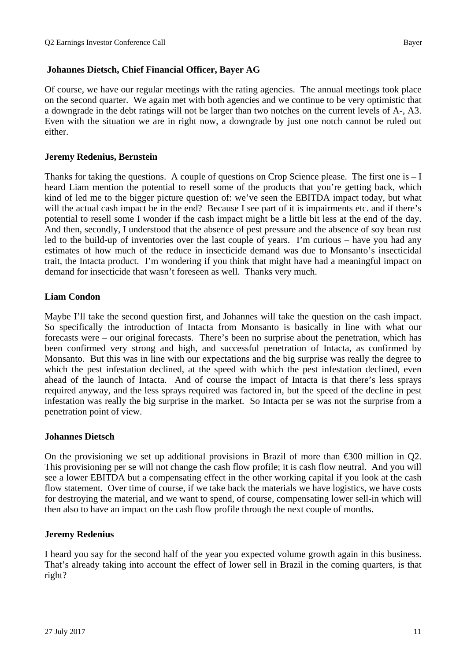**Johannes Dietsch, Chief Financial Officer, Bayer AG** 

Of course, we have our regular meetings with the rating agencies. The annual meetings took place on the second quarter. We again met with both agencies and we continue to be very optimistic that a downgrade in the debt ratings will not be larger than two notches on the current levels of A-, A3. Even with the situation we are in right now, a downgrade by just one notch cannot be ruled out either.

# **Jeremy Redenius, Bernstein**

Thanks for taking the questions. A couple of questions on Crop Science please. The first one is – I heard Liam mention the potential to resell some of the products that you're getting back, which kind of led me to the bigger picture question of: we've seen the EBITDA impact today, but what will the actual cash impact be in the end? Because I see part of it is impairments etc. and if there's potential to resell some I wonder if the cash impact might be a little bit less at the end of the day. And then, secondly, I understood that the absence of pest pressure and the absence of soy bean rust led to the build-up of inventories over the last couple of years. I'm curious – have you had any estimates of how much of the reduce in insecticide demand was due to Monsanto's insecticidal trait, the Intacta product. I'm wondering if you think that might have had a meaningful impact on demand for insecticide that wasn't foreseen as well. Thanks very much.

# **Liam Condon**

Maybe I'll take the second question first, and Johannes will take the question on the cash impact. So specifically the introduction of Intacta from Monsanto is basically in line with what our forecasts were – our original forecasts. There's been no surprise about the penetration, which has been confirmed very strong and high, and successful penetration of Intacta, as confirmed by Monsanto. But this was in line with our expectations and the big surprise was really the degree to which the pest infestation declined, at the speed with which the pest infestation declined, even ahead of the launch of Intacta. And of course the impact of Intacta is that there's less sprays required anyway, and the less sprays required was factored in, but the speed of the decline in pest infestation was really the big surprise in the market. So Intacta per se was not the surprise from a penetration point of view.

# **Johannes Dietsch**

On the provisioning we set up additional provisions in Brazil of more than  $\epsilon$ 300 million in Q2. This provisioning per se will not change the cash flow profile; it is cash flow neutral. And you will see a lower EBITDA but a compensating effect in the other working capital if you look at the cash flow statement. Over time of course, if we take back the materials we have logistics, we have costs for destroying the material, and we want to spend, of course, compensating lower sell-in which will then also to have an impact on the cash flow profile through the next couple of months.

# **Jeremy Redenius**

I heard you say for the second half of the year you expected volume growth again in this business. That's already taking into account the effect of lower sell in Brazil in the coming quarters, is that right?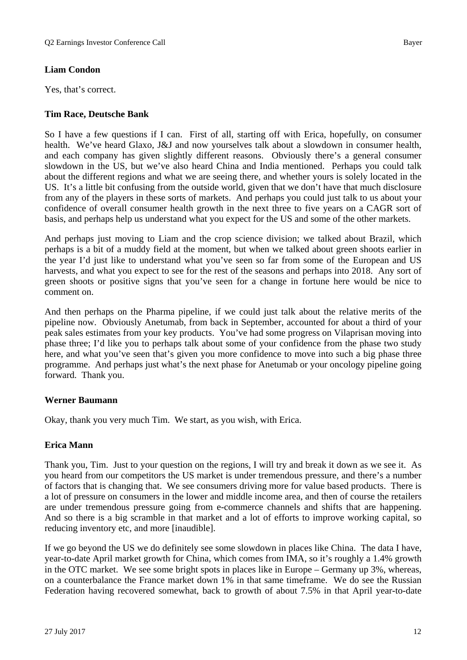# **Liam Condon**

Yes, that's correct.

# **Tim Race, Deutsche Bank**

So I have a few questions if I can. First of all, starting off with Erica, hopefully, on consumer health. We've heard Glaxo, J&J and now yourselves talk about a slowdown in consumer health, and each company has given slightly different reasons. Obviously there's a general consumer slowdown in the US, but we've also heard China and India mentioned. Perhaps you could talk about the different regions and what we are seeing there, and whether yours is solely located in the US. It's a little bit confusing from the outside world, given that we don't have that much disclosure from any of the players in these sorts of markets. And perhaps you could just talk to us about your confidence of overall consumer health growth in the next three to five years on a CAGR sort of basis, and perhaps help us understand what you expect for the US and some of the other markets.

And perhaps just moving to Liam and the crop science division; we talked about Brazil, which perhaps is a bit of a muddy field at the moment, but when we talked about green shoots earlier in the year I'd just like to understand what you've seen so far from some of the European and US harvests, and what you expect to see for the rest of the seasons and perhaps into 2018. Any sort of green shoots or positive signs that you've seen for a change in fortune here would be nice to comment on.

And then perhaps on the Pharma pipeline, if we could just talk about the relative merits of the pipeline now. Obviously Anetumab, from back in September, accounted for about a third of your peak sales estimates from your key products. You've had some progress on Vilaprisan moving into phase three; I'd like you to perhaps talk about some of your confidence from the phase two study here, and what you've seen that's given you more confidence to move into such a big phase three programme. And perhaps just what's the next phase for Anetumab or your oncology pipeline going forward. Thank you.

# **Werner Baumann**

Okay, thank you very much Tim. We start, as you wish, with Erica.

# **Erica Mann**

Thank you, Tim. Just to your question on the regions, I will try and break it down as we see it. As you heard from our competitors the US market is under tremendous pressure, and there's a number of factors that is changing that. We see consumers driving more for value based products. There is a lot of pressure on consumers in the lower and middle income area, and then of course the retailers are under tremendous pressure going from e-commerce channels and shifts that are happening. And so there is a big scramble in that market and a lot of efforts to improve working capital, so reducing inventory etc, and more [inaudible].

If we go beyond the US we do definitely see some slowdown in places like China. The data I have, year-to-date April market growth for China, which comes from IMA, so it's roughly a 1.4% growth in the OTC market. We see some bright spots in places like in Europe – Germany up 3%, whereas, on a counterbalance the France market down 1% in that same timeframe. We do see the Russian Federation having recovered somewhat, back to growth of about 7.5% in that April year-to-date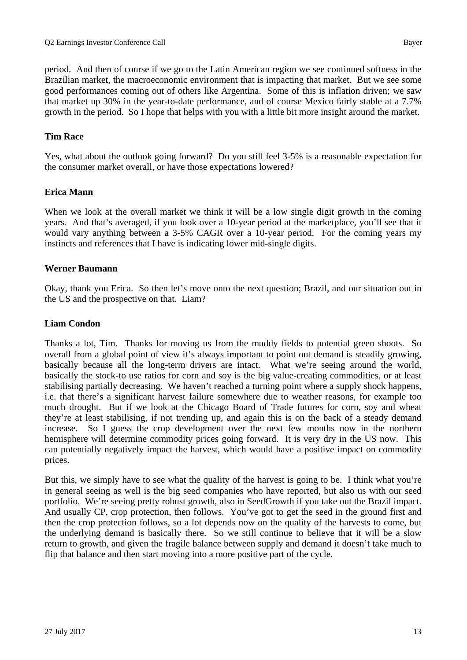period. And then of course if we go to the Latin American region we see continued softness in the Brazilian market, the macroeconomic environment that is impacting that market. But we see some good performances coming out of others like Argentina. Some of this is inflation driven; we saw that market up 30% in the year-to-date performance, and of course Mexico fairly stable at a 7.7% growth in the period. So I hope that helps with you with a little bit more insight around the market.

# **Tim Race**

Yes, what about the outlook going forward? Do you still feel 3-5% is a reasonable expectation for the consumer market overall, or have those expectations lowered?

# **Erica Mann**

When we look at the overall market we think it will be a low single digit growth in the coming years. And that's averaged, if you look over a 10-year period at the marketplace, you'll see that it would vary anything between a 3-5% CAGR over a 10-year period. For the coming years my instincts and references that I have is indicating lower mid-single digits.

#### **Werner Baumann**

Okay, thank you Erica. So then let's move onto the next question; Brazil, and our situation out in the US and the prospective on that. Liam?

#### **Liam Condon**

Thanks a lot, Tim. Thanks for moving us from the muddy fields to potential green shoots. So overall from a global point of view it's always important to point out demand is steadily growing, basically because all the long-term drivers are intact. What we're seeing around the world, basically the stock-to use ratios for corn and soy is the big value-creating commodities, or at least stabilising partially decreasing. We haven't reached a turning point where a supply shock happens, i.e. that there's a significant harvest failure somewhere due to weather reasons, for example too much drought. But if we look at the Chicago Board of Trade futures for corn, soy and wheat they're at least stabilising, if not trending up, and again this is on the back of a steady demand increase. So I guess the crop development over the next few months now in the northern hemisphere will determine commodity prices going forward. It is very dry in the US now. This can potentially negatively impact the harvest, which would have a positive impact on commodity prices.

But this, we simply have to see what the quality of the harvest is going to be. I think what you're in general seeing as well is the big seed companies who have reported, but also us with our seed portfolio. We're seeing pretty robust growth, also in SeedGrowth if you take out the Brazil impact. And usually CP, crop protection, then follows. You've got to get the seed in the ground first and then the crop protection follows, so a lot depends now on the quality of the harvests to come, but the underlying demand is basically there. So we still continue to believe that it will be a slow return to growth, and given the fragile balance between supply and demand it doesn't take much to flip that balance and then start moving into a more positive part of the cycle.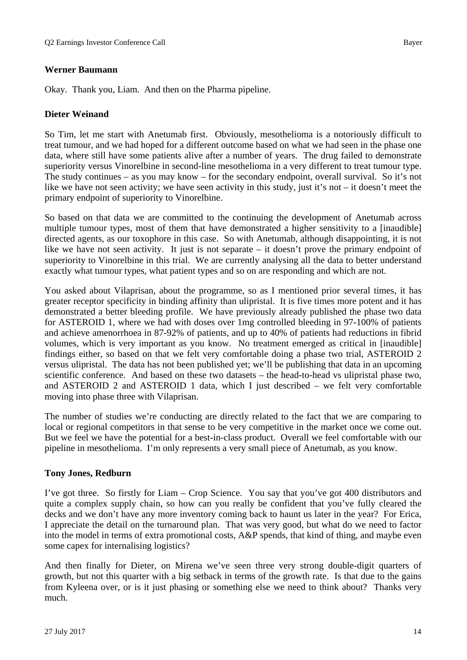# **Werner Baumann**

Okay. Thank you, Liam. And then on the Pharma pipeline.

# **Dieter Weinand**

So Tim, let me start with Anetumab first. Obviously, mesothelioma is a notoriously difficult to treat tumour, and we had hoped for a different outcome based on what we had seen in the phase one data, where still have some patients alive after a number of years. The drug failed to demonstrate superiority versus Vinorelbine in second-line mesothelioma in a very different to treat tumour type. The study continues – as you may know – for the secondary endpoint, overall survival. So it's not like we have not seen activity; we have seen activity in this study, just it's not – it doesn't meet the primary endpoint of superiority to Vinorelbine.

So based on that data we are committed to the continuing the development of Anetumab across multiple tumour types, most of them that have demonstrated a higher sensitivity to a [inaudible] directed agents, as our toxophore in this case. So with Anetumab, although disappointing, it is not like we have not seen activity. It just is not separate – it doesn't prove the primary endpoint of superiority to Vinorelbine in this trial. We are currently analysing all the data to better understand exactly what tumour types, what patient types and so on are responding and which are not.

You asked about Vilaprisan, about the programme, so as I mentioned prior several times, it has greater receptor specificity in binding affinity than ulipristal. It is five times more potent and it has demonstrated a better bleeding profile. We have previously already published the phase two data for ASTEROID 1, where we had with doses over 1mg controlled bleeding in 97-100% of patients and achieve amenorrhoea in 87-92% of patients, and up to 40% of patients had reductions in fibrid volumes, which is very important as you know. No treatment emerged as critical in [inaudible] findings either, so based on that we felt very comfortable doing a phase two trial, ASTEROID 2 versus ulipristal. The data has not been published yet; we'll be publishing that data in an upcoming scientific conference. And based on these two datasets – the head-to-head vs ulipristal phase two, and ASTEROID 2 and ASTEROID 1 data, which I just described – we felt very comfortable moving into phase three with Vilaprisan.

The number of studies we're conducting are directly related to the fact that we are comparing to local or regional competitors in that sense to be very competitive in the market once we come out. But we feel we have the potential for a best-in-class product. Overall we feel comfortable with our pipeline in mesothelioma. I'm only represents a very small piece of Anetumab, as you know.

# **Tony Jones, Redburn**

I've got three. So firstly for Liam – Crop Science. You say that you've got 400 distributors and quite a complex supply chain, so how can you really be confident that you've fully cleared the decks and we don't have any more inventory coming back to haunt us later in the year? For Erica, I appreciate the detail on the turnaround plan. That was very good, but what do we need to factor into the model in terms of extra promotional costs, A&P spends, that kind of thing, and maybe even some capex for internalising logistics?

And then finally for Dieter, on Mirena we've seen three very strong double-digit quarters of growth, but not this quarter with a big setback in terms of the growth rate. Is that due to the gains from Kyleena over, or is it just phasing or something else we need to think about? Thanks very much.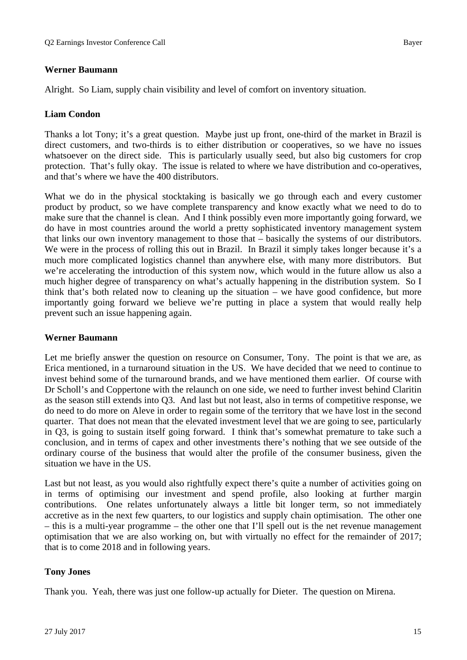# **Werner Baumann**

Alright. So Liam, supply chain visibility and level of comfort on inventory situation.

# **Liam Condon**

Thanks a lot Tony; it's a great question. Maybe just up front, one-third of the market in Brazil is direct customers, and two-thirds is to either distribution or cooperatives, so we have no issues whatsoever on the direct side. This is particularly usually seed, but also big customers for crop protection. That's fully okay. The issue is related to where we have distribution and co-operatives, and that's where we have the 400 distributors.

What we do in the physical stocktaking is basically we go through each and every customer product by product, so we have complete transparency and know exactly what we need to do to make sure that the channel is clean. And I think possibly even more importantly going forward, we do have in most countries around the world a pretty sophisticated inventory management system that links our own inventory management to those that – basically the systems of our distributors. We were in the process of rolling this out in Brazil. In Brazil it simply takes longer because it's a much more complicated logistics channel than anywhere else, with many more distributors. But we're accelerating the introduction of this system now, which would in the future allow us also a much higher degree of transparency on what's actually happening in the distribution system. So I think that's both related now to cleaning up the situation – we have good confidence, but more importantly going forward we believe we're putting in place a system that would really help prevent such an issue happening again.

# **Werner Baumann**

Let me briefly answer the question on resource on Consumer, Tony. The point is that we are, as Erica mentioned, in a turnaround situation in the US. We have decided that we need to continue to invest behind some of the turnaround brands, and we have mentioned them earlier. Of course with Dr Scholl's and Coppertone with the relaunch on one side, we need to further invest behind Claritin as the season still extends into Q3. And last but not least, also in terms of competitive response, we do need to do more on Aleve in order to regain some of the territory that we have lost in the second quarter. That does not mean that the elevated investment level that we are going to see, particularly in Q3, is going to sustain itself going forward. I think that's somewhat premature to take such a conclusion, and in terms of capex and other investments there's nothing that we see outside of the ordinary course of the business that would alter the profile of the consumer business, given the situation we have in the US.

Last but not least, as you would also rightfully expect there's quite a number of activities going on in terms of optimising our investment and spend profile, also looking at further margin contributions. One relates unfortunately always a little bit longer term, so not immediately accretive as in the next few quarters, to our logistics and supply chain optimisation. The other one – this is a multi-year programme – the other one that I'll spell out is the net revenue management optimisation that we are also working on, but with virtually no effect for the remainder of 2017; that is to come 2018 and in following years.

# **Tony Jones**

Thank you. Yeah, there was just one follow-up actually for Dieter. The question on Mirena.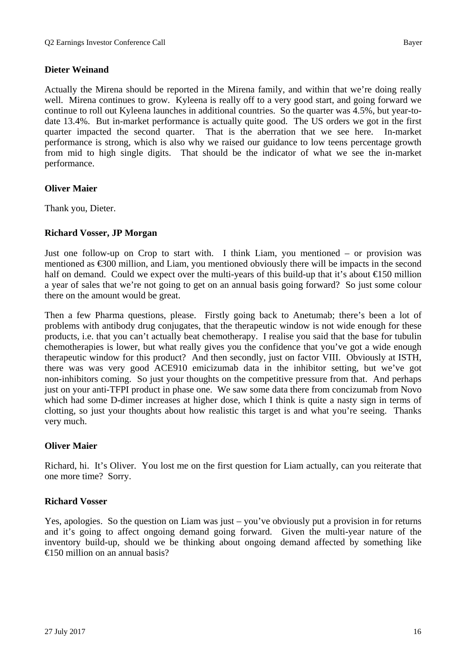# **Dieter Weinand**

Actually the Mirena should be reported in the Mirena family, and within that we're doing really well. Mirena continues to grow. Kyleena is really off to a very good start, and going forward we continue to roll out Kyleena launches in additional countries. So the quarter was 4.5%, but year-todate 13.4%. But in-market performance is actually quite good. The US orders we got in the first quarter impacted the second quarter. That is the aberration that we see here. In-market performance is strong, which is also why we raised our guidance to low teens percentage growth from mid to high single digits. That should be the indicator of what we see the in-market performance.

# **Oliver Maier**

Thank you, Dieter.

# **Richard Vosser, JP Morgan**

Just one follow-up on Crop to start with. I think Liam, you mentioned – or provision was mentioned as €300 million, and Liam, you mentioned obviously there will be impacts in the second half on demand. Could we expect over the multi-years of this build-up that it's about  $\epsilon$  50 million a year of sales that we're not going to get on an annual basis going forward? So just some colour there on the amount would be great.

Then a few Pharma questions, please. Firstly going back to Anetumab; there's been a lot of problems with antibody drug conjugates, that the therapeutic window is not wide enough for these products, i.e. that you can't actually beat chemotherapy. I realise you said that the base for tubulin chemotherapies is lower, but what really gives you the confidence that you've got a wide enough therapeutic window for this product? And then secondly, just on factor VIII. Obviously at ISTH, there was was very good ACE910 emicizumab data in the inhibitor setting, but we've got non-inhibitors coming. So just your thoughts on the competitive pressure from that. And perhaps just on your anti-TFPI product in phase one. We saw some data there from concizumab from Novo which had some D-dimer increases at higher dose, which I think is quite a nasty sign in terms of clotting, so just your thoughts about how realistic this target is and what you're seeing. Thanks very much.

# **Oliver Maier**

Richard, hi. It's Oliver. You lost me on the first question for Liam actually, can you reiterate that one more time? Sorry.

# **Richard Vosser**

Yes, apologies. So the question on Liam was just – you've obviously put a provision in for returns and it's going to affect ongoing demand going forward. Given the multi-year nature of the inventory build-up, should we be thinking about ongoing demand affected by something like  $\triangleq$  50 million on an annual basis?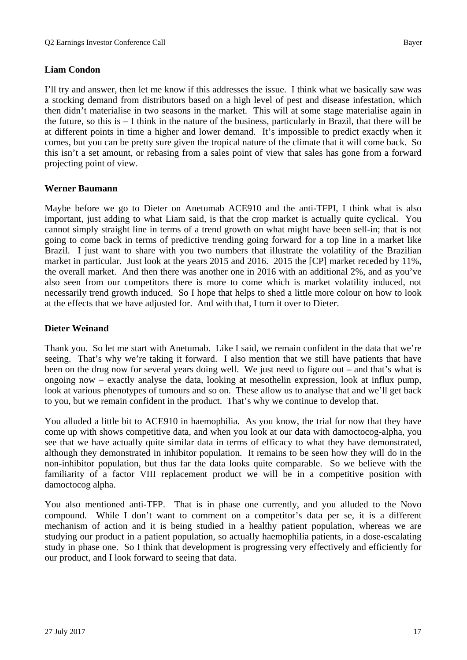# **Liam Condon**

I'll try and answer, then let me know if this addresses the issue. I think what we basically saw was a stocking demand from distributors based on a high level of pest and disease infestation, which then didn't materialise in two seasons in the market. This will at some stage materialise again in the future, so this is – I think in the nature of the business, particularly in Brazil, that there will be at different points in time a higher and lower demand. It's impossible to predict exactly when it comes, but you can be pretty sure given the tropical nature of the climate that it will come back. So this isn't a set amount, or rebasing from a sales point of view that sales has gone from a forward projecting point of view.

# **Werner Baumann**

Maybe before we go to Dieter on Anetumab ACE910 and the anti-TFPI, I think what is also important, just adding to what Liam said, is that the crop market is actually quite cyclical. You cannot simply straight line in terms of a trend growth on what might have been sell-in; that is not going to come back in terms of predictive trending going forward for a top line in a market like Brazil. I just want to share with you two numbers that illustrate the volatility of the Brazilian market in particular. Just look at the years 2015 and 2016. 2015 the [CP] market receded by 11%, the overall market. And then there was another one in 2016 with an additional 2%, and as you've also seen from our competitors there is more to come which is market volatility induced, not necessarily trend growth induced. So I hope that helps to shed a little more colour on how to look at the effects that we have adjusted for. And with that, I turn it over to Dieter.

# **Dieter Weinand**

Thank you. So let me start with Anetumab. Like I said, we remain confident in the data that we're seeing. That's why we're taking it forward. I also mention that we still have patients that have been on the drug now for several years doing well. We just need to figure out – and that's what is ongoing now – exactly analyse the data, looking at mesothelin expression, look at influx pump, look at various phenotypes of tumours and so on. These allow us to analyse that and we'll get back to you, but we remain confident in the product. That's why we continue to develop that.

You alluded a little bit to ACE910 in haemophilia. As you know, the trial for now that they have come up with shows competitive data, and when you look at our data with damoctocog-alpha, you see that we have actually quite similar data in terms of efficacy to what they have demonstrated, although they demonstrated in inhibitor population. It remains to be seen how they will do in the non-inhibitor population, but thus far the data looks quite comparable. So we believe with the familiarity of a factor VIII replacement product we will be in a competitive position with damoctocog alpha.

You also mentioned anti-TFP. That is in phase one currently, and you alluded to the Novo compound. While I don't want to comment on a competitor's data per se, it is a different mechanism of action and it is being studied in a healthy patient population, whereas we are studying our product in a patient population, so actually haemophilia patients, in a dose-escalating study in phase one. So I think that development is progressing very effectively and efficiently for our product, and I look forward to seeing that data.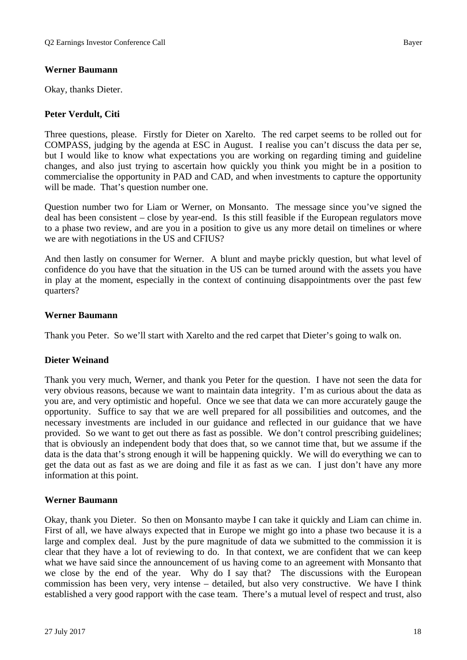# **Werner Baumann**

Okay, thanks Dieter.

# **Peter Verdult, Citi**

Three questions, please. Firstly for Dieter on Xarelto. The red carpet seems to be rolled out for COMPASS, judging by the agenda at ESC in August. I realise you can't discuss the data per se, but I would like to know what expectations you are working on regarding timing and guideline changes, and also just trying to ascertain how quickly you think you might be in a position to commercialise the opportunity in PAD and CAD, and when investments to capture the opportunity will be made. That's question number one.

Question number two for Liam or Werner, on Monsanto. The message since you've signed the deal has been consistent – close by year-end. Is this still feasible if the European regulators move to a phase two review, and are you in a position to give us any more detail on timelines or where we are with negotiations in the US and CFIUS?

And then lastly on consumer for Werner. A blunt and maybe prickly question, but what level of confidence do you have that the situation in the US can be turned around with the assets you have in play at the moment, especially in the context of continuing disappointments over the past few quarters?

#### **Werner Baumann**

Thank you Peter. So we'll start with Xarelto and the red carpet that Dieter's going to walk on.

# **Dieter Weinand**

Thank you very much, Werner, and thank you Peter for the question. I have not seen the data for very obvious reasons, because we want to maintain data integrity. I'm as curious about the data as you are, and very optimistic and hopeful. Once we see that data we can more accurately gauge the opportunity. Suffice to say that we are well prepared for all possibilities and outcomes, and the necessary investments are included in our guidance and reflected in our guidance that we have provided. So we want to get out there as fast as possible. We don't control prescribing guidelines; that is obviously an independent body that does that, so we cannot time that, but we assume if the data is the data that's strong enough it will be happening quickly. We will do everything we can to get the data out as fast as we are doing and file it as fast as we can. I just don't have any more information at this point.

#### **Werner Baumann**

Okay, thank you Dieter. So then on Monsanto maybe I can take it quickly and Liam can chime in. First of all, we have always expected that in Europe we might go into a phase two because it is a large and complex deal. Just by the pure magnitude of data we submitted to the commission it is clear that they have a lot of reviewing to do. In that context, we are confident that we can keep what we have said since the announcement of us having come to an agreement with Monsanto that we close by the end of the year. Why do I say that? The discussions with the European commission has been very, very intense – detailed, but also very constructive. We have I think established a very good rapport with the case team. There's a mutual level of respect and trust, also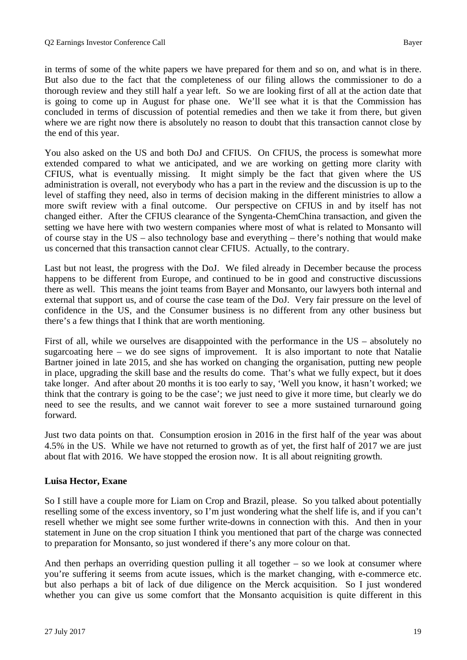in terms of some of the white papers we have prepared for them and so on, and what is in there. But also due to the fact that the completeness of our filing allows the commissioner to do a thorough review and they still half a year left. So we are looking first of all at the action date that is going to come up in August for phase one. We'll see what it is that the Commission has concluded in terms of discussion of potential remedies and then we take it from there, but given where we are right now there is absolutely no reason to doubt that this transaction cannot close by the end of this year.

You also asked on the US and both DoJ and CFIUS. On CFIUS, the process is somewhat more extended compared to what we anticipated, and we are working on getting more clarity with CFIUS, what is eventually missing. It might simply be the fact that given where the US administration is overall, not everybody who has a part in the review and the discussion is up to the level of staffing they need, also in terms of decision making in the different ministries to allow a more swift review with a final outcome. Our perspective on CFIUS in and by itself has not changed either. After the CFIUS clearance of the Syngenta-ChemChina transaction, and given the setting we have here with two western companies where most of what is related to Monsanto will of course stay in the US – also technology base and everything – there's nothing that would make us concerned that this transaction cannot clear CFIUS. Actually, to the contrary.

Last but not least, the progress with the DoJ. We filed already in December because the process happens to be different from Europe, and continued to be in good and constructive discussions there as well. This means the joint teams from Bayer and Monsanto, our lawyers both internal and external that support us, and of course the case team of the DoJ. Very fair pressure on the level of confidence in the US, and the Consumer business is no different from any other business but there's a few things that I think that are worth mentioning.

First of all, while we ourselves are disappointed with the performance in the US – absolutely no sugarcoating here – we do see signs of improvement. It is also important to note that Natalie Bartner joined in late 2015, and she has worked on changing the organisation, putting new people in place, upgrading the skill base and the results do come. That's what we fully expect, but it does take longer. And after about 20 months it is too early to say, 'Well you know, it hasn't worked; we think that the contrary is going to be the case'; we just need to give it more time, but clearly we do need to see the results, and we cannot wait forever to see a more sustained turnaround going forward.

Just two data points on that. Consumption erosion in 2016 in the first half of the year was about 4.5% in the US. While we have not returned to growth as of yet, the first half of 2017 we are just about flat with 2016. We have stopped the erosion now. It is all about reigniting growth.

# **Luisa Hector, Exane**

So I still have a couple more for Liam on Crop and Brazil, please. So you talked about potentially reselling some of the excess inventory, so I'm just wondering what the shelf life is, and if you can't resell whether we might see some further write-downs in connection with this. And then in your statement in June on the crop situation I think you mentioned that part of the charge was connected to preparation for Monsanto, so just wondered if there's any more colour on that.

And then perhaps an overriding question pulling it all together  $-$  so we look at consumer where you're suffering it seems from acute issues, which is the market changing, with e-commerce etc. but also perhaps a bit of lack of due diligence on the Merck acquisition. So I just wondered whether you can give us some comfort that the Monsanto acquisition is quite different in this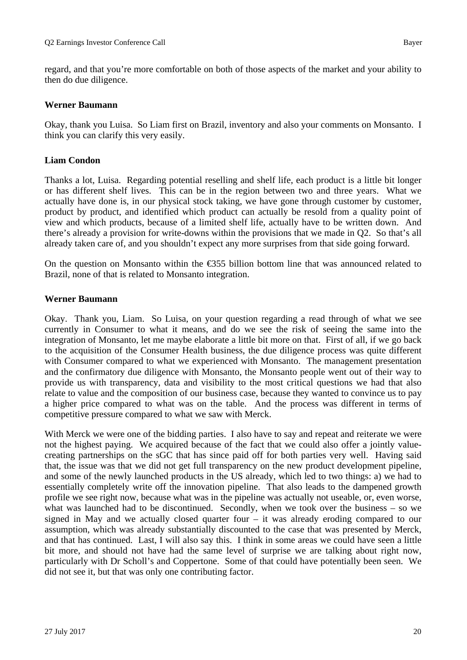regard, and that you're more comfortable on both of those aspects of the market and your ability to then do due diligence.

# **Werner Baumann**

Okay, thank you Luisa. So Liam first on Brazil, inventory and also your comments on Monsanto. I think you can clarify this very easily.

# **Liam Condon**

Thanks a lot, Luisa. Regarding potential reselling and shelf life, each product is a little bit longer or has different shelf lives. This can be in the region between two and three years. What we actually have done is, in our physical stock taking, we have gone through customer by customer, product by product, and identified which product can actually be resold from a quality point of view and which products, because of a limited shelf life, actually have to be written down. And there's already a provision for write-downs within the provisions that we made in Q2. So that's all already taken care of, and you shouldn't expect any more surprises from that side going forward.

On the question on Monsanto within the  $\epsilon$ 355 billion bottom line that was announced related to Brazil, none of that is related to Monsanto integration.

# **Werner Baumann**

Okay. Thank you, Liam. So Luisa, on your question regarding a read through of what we see currently in Consumer to what it means, and do we see the risk of seeing the same into the integration of Monsanto, let me maybe elaborate a little bit more on that. First of all, if we go back to the acquisition of the Consumer Health business, the due diligence process was quite different with Consumer compared to what we experienced with Monsanto. The management presentation and the confirmatory due diligence with Monsanto, the Monsanto people went out of their way to provide us with transparency, data and visibility to the most critical questions we had that also relate to value and the composition of our business case, because they wanted to convince us to pay a higher price compared to what was on the table. And the process was different in terms of competitive pressure compared to what we saw with Merck.

With Merck we were one of the bidding parties. I also have to say and repeat and reiterate we were not the highest paying. We acquired because of the fact that we could also offer a jointly valuecreating partnerships on the sGC that has since paid off for both parties very well. Having said that, the issue was that we did not get full transparency on the new product development pipeline, and some of the newly launched products in the US already, which led to two things: a) we had to essentially completely write off the innovation pipeline. That also leads to the dampened growth profile we see right now, because what was in the pipeline was actually not useable, or, even worse, what was launched had to be discontinued. Secondly, when we took over the business – so we signed in May and we actually closed quarter four – it was already eroding compared to our assumption, which was already substantially discounted to the case that was presented by Merck, and that has continued. Last, I will also say this. I think in some areas we could have seen a little bit more, and should not have had the same level of surprise we are talking about right now, particularly with Dr Scholl's and Coppertone. Some of that could have potentially been seen. We did not see it, but that was only one contributing factor.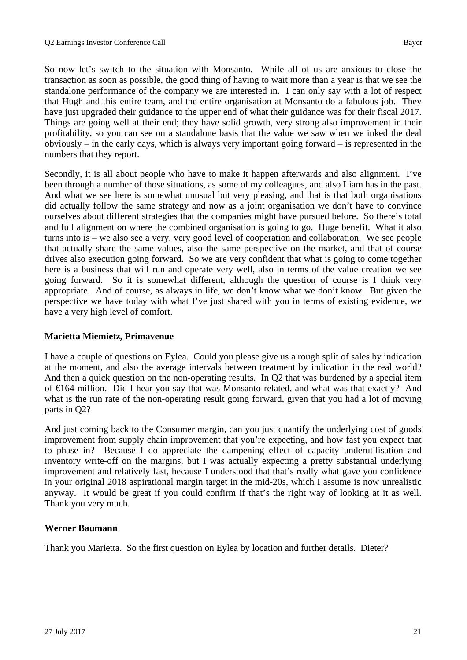So now let's switch to the situation with Monsanto. While all of us are anxious to close the transaction as soon as possible, the good thing of having to wait more than a year is that we see the standalone performance of the company we are interested in. I can only say with a lot of respect that Hugh and this entire team, and the entire organisation at Monsanto do a fabulous job. They have just upgraded their guidance to the upper end of what their guidance was for their fiscal 2017. Things are going well at their end; they have solid growth, very strong also improvement in their profitability, so you can see on a standalone basis that the value we saw when we inked the deal obviously – in the early days, which is always very important going forward – is represented in the numbers that they report.

Secondly, it is all about people who have to make it happen afterwards and also alignment. I've been through a number of those situations, as some of my colleagues, and also Liam has in the past. And what we see here is somewhat unusual but very pleasing, and that is that both organisations did actually follow the same strategy and now as a joint organisation we don't have to convince ourselves about different strategies that the companies might have pursued before. So there's total and full alignment on where the combined organisation is going to go. Huge benefit. What it also turns into is – we also see a very, very good level of cooperation and collaboration. We see people that actually share the same values, also the same perspective on the market, and that of course drives also execution going forward. So we are very confident that what is going to come together here is a business that will run and operate very well, also in terms of the value creation we see going forward. So it is somewhat different, although the question of course is I think very appropriate. And of course, as always in life, we don't know what we don't know. But given the perspective we have today with what I've just shared with you in terms of existing evidence, we have a very high level of comfort.

# **Marietta Miemietz, Primavenue**

I have a couple of questions on Eylea. Could you please give us a rough split of sales by indication at the moment, and also the average intervals between treatment by indication in the real world? And then a quick question on the non-operating results. In Q2 that was burdened by a special item of €164 million. Did I hear you say that was Monsanto-related, and what was that exactly? And what is the run rate of the non-operating result going forward, given that you had a lot of moving parts in Q2?

And just coming back to the Consumer margin, can you just quantify the underlying cost of goods improvement from supply chain improvement that you're expecting, and how fast you expect that to phase in? Because I do appreciate the dampening effect of capacity underutilisation and inventory write-off on the margins, but I was actually expecting a pretty substantial underlying improvement and relatively fast, because I understood that that's really what gave you confidence in your original 2018 aspirational margin target in the mid-20s, which I assume is now unrealistic anyway. It would be great if you could confirm if that's the right way of looking at it as well. Thank you very much.

# **Werner Baumann**

Thank you Marietta. So the first question on Eylea by location and further details. Dieter?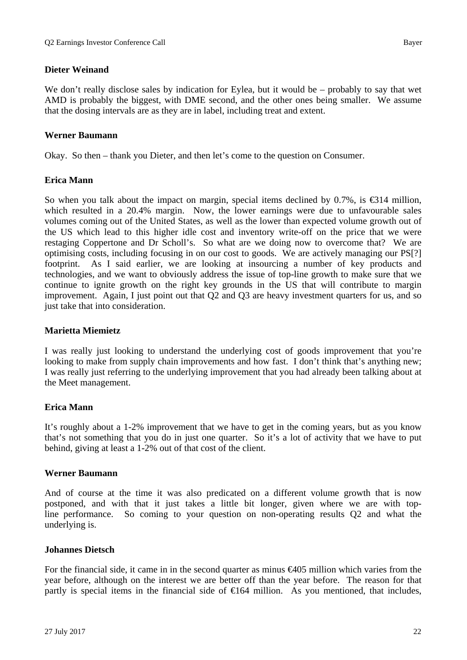We don't really disclose sales by indication for Eylea, but it would be – probably to say that wet AMD is probably the biggest, with DME second, and the other ones being smaller. We assume that the dosing intervals are as they are in label, including treat and extent.

# **Werner Baumann**

Okay. So then – thank you Dieter, and then let's come to the question on Consumer.

# **Erica Mann**

So when you talk about the impact on margin, special items declined by 0.7%, is  $\bigoplus$  14 million, which resulted in a 20.4% margin. Now, the lower earnings were due to unfavourable sales volumes coming out of the United States, as well as the lower than expected volume growth out of the US which lead to this higher idle cost and inventory write-off on the price that we were restaging Coppertone and Dr Scholl's. So what are we doing now to overcome that? We are optimising costs, including focusing in on our cost to goods. We are actively managing our PS[?] footprint. As I said earlier, we are looking at insourcing a number of key products and technologies, and we want to obviously address the issue of top-line growth to make sure that we continue to ignite growth on the right key grounds in the US that will contribute to margin improvement. Again, I just point out that Q2 and Q3 are heavy investment quarters for us, and so just take that into consideration.

# **Marietta Miemietz**

I was really just looking to understand the underlying cost of goods improvement that you're looking to make from supply chain improvements and how fast. I don't think that's anything new; I was really just referring to the underlying improvement that you had already been talking about at the Meet management.

# **Erica Mann**

It's roughly about a 1-2% improvement that we have to get in the coming years, but as you know that's not something that you do in just one quarter. So it's a lot of activity that we have to put behind, giving at least a 1-2% out of that cost of the client.

# **Werner Baumann**

And of course at the time it was also predicated on a different volume growth that is now postponed, and with that it just takes a little bit longer, given where we are with topline performance. So coming to your question on non-operating results Q2 and what the underlying is.

# **Johannes Dietsch**

For the financial side, it came in in the second quarter as minus €405 million which varies from the year before, although on the interest we are better off than the year before. The reason for that partly is special items in the financial side of  $\epsilon 164$  million. As you mentioned, that includes,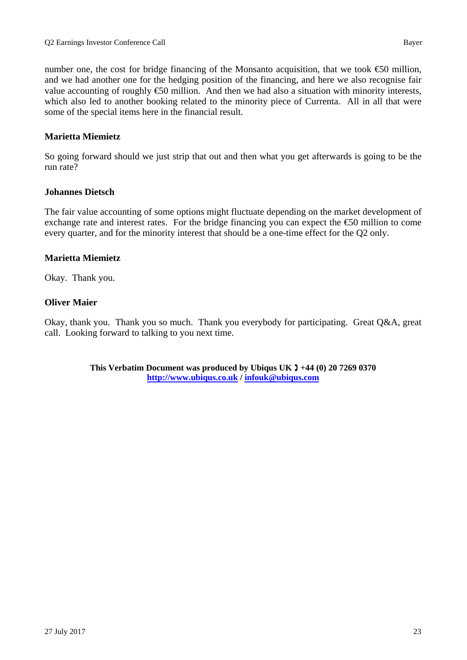number one, the cost for bridge financing of the Monsanto acquisition, that we took  $\epsilon$  million, and we had another one for the hedging position of the financing, and here we also recognise fair value accounting of roughly  $\epsilon$ 50 million. And then we had also a situation with minority interests, which also led to another booking related to the minority piece of Currenta. All in all that were some of the special items here in the financial result.

# **Marietta Miemietz**

So going forward should we just strip that out and then what you get afterwards is going to be the run rate?

#### **Johannes Dietsch**

The fair value accounting of some options might fluctuate depending on the market development of exchange rate and interest rates. For the bridge financing you can expect the €50 million to come every quarter, and for the minority interest that should be a one-time effect for the Q2 only.

# **Marietta Miemietz**

Okay. Thank you.

#### **Oliver Maier**

Okay, thank you. Thank you so much. Thank you everybody for participating. Great Q&A, great call. Looking forward to talking to you next time.

> **This Verbatim Document was produced by Ubiqus UK +44 (0) 20 7269 0370 http://www.ubiqus.co.uk / infouk@ubiqus.com**